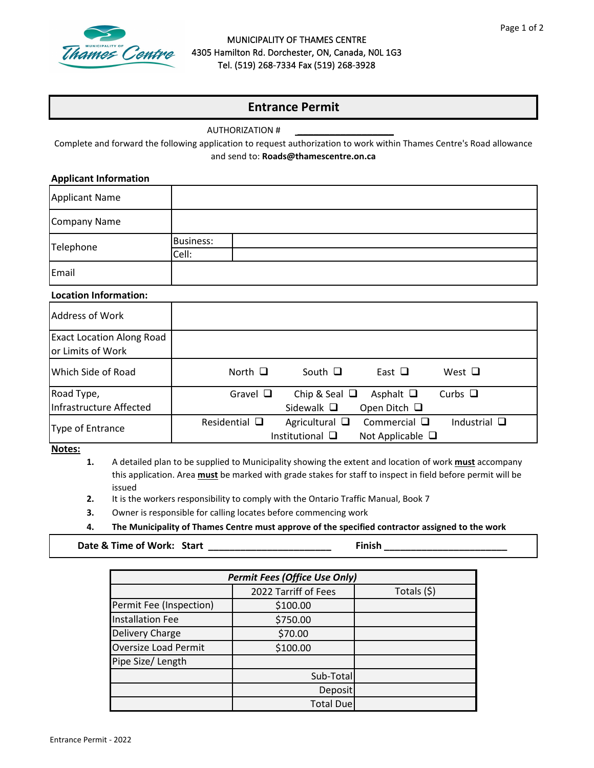

#### MUNICIPALITY OF THAMES CENTRE 4305 Hamilton Rd. Dorchester, ON, Canada, N0L 1G3 Tel. (519) 268-7334 Fax (519) 268-3928

# **Entrance Permit**

AUTHORIZATION #

Complete and forward the following application to request authorization to work within Thames Centre's Road allowance and send to: **Roads@thamescentre.on.ca**

\_\_\_\_\_\_\_\_\_\_\_\_\_\_\_\_\_\_

#### **Applicant Information**

| Applicant Name |                  |
|----------------|------------------|
| Company Name   |                  |
| Telephone      | <b>Business:</b> |
|                | Cell:            |
| Email          |                  |

### **Location Information:**

| <b>Address of Work</b>                                |                                                                         |                                                                    |
|-------------------------------------------------------|-------------------------------------------------------------------------|--------------------------------------------------------------------|
| <b>Exact Location Along Road</b><br>or Limits of Work |                                                                         |                                                                    |
| Which Side of Road                                    | North $\Box$<br>South $\Box$                                            | East $\Box$<br>West $\Box$                                         |
| Road Type,                                            | Gravel $\square$<br>Chip & Seal $\Box$                                  | Curbs $\Box$<br>Asphalt $\Box$                                     |
| Infrastructure Affected                               | Sidewalk $\Box$                                                         | Open Ditch $\Box$                                                  |
| Type of Entrance                                      | Residential $\square$<br>Agricultural $\Box$<br>Institutional $\square$ | Industrial $\Box$<br>Commercial $\square$<br>Not Applicable $\Box$ |

**Notes:**

- **1.**  A detailed plan to be supplied to Municipality showing the extent and location of work **must** accompany this application. Area **must** be marked with grade stakes for staff to inspect in field before permit will be issued
- **2.** It is the workers responsibility to comply with the Ontario Traffic Manual, Book 7
- **3.** Owner is responsible for calling locates before commencing work
- **4. The Municipality of Thames Centre must approve of the specified contractor assigned to the work**

**Date & Time of Work: Start \_\_\_\_\_\_\_\_\_\_\_\_\_\_\_\_\_\_\_\_\_\_\_ Finish \_\_\_\_\_\_\_\_\_\_\_\_\_\_\_\_\_\_\_\_\_\_\_** 

| <b>Permit Fees (Office Use Only)</b> |                      |              |  |  |  |
|--------------------------------------|----------------------|--------------|--|--|--|
|                                      | 2022 Tarriff of Fees | Totals $(5)$ |  |  |  |
| Permit Fee (Inspection)              | \$100.00             |              |  |  |  |
| <b>Installation Fee</b>              | \$750.00             |              |  |  |  |
| <b>Delivery Charge</b>               | \$70.00              |              |  |  |  |
| <b>Oversize Load Permit</b>          | \$100.00             |              |  |  |  |
| Pipe Size/ Length                    |                      |              |  |  |  |
|                                      | Sub-Total            |              |  |  |  |
|                                      | Deposit              |              |  |  |  |
|                                      | <b>Total Due</b>     |              |  |  |  |